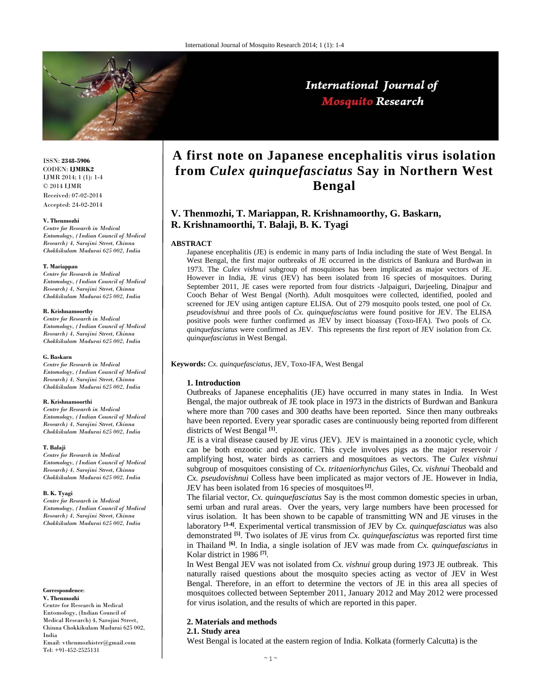

ISSN: **2348-5906** CODEN: **IJMRK2** IJMR 2014; 1 (1): 1-4 © 2014 IJMR Received: 07-02-2014 Accepted: 24-02-2014

### **V. Thenmozhi**

*Centre for Research in Medical Entomology, (Indian Council of Medical Research) 4, Sarojini Street, Chinna Chokkikulam Madurai 625 002, India*

### **T. Mariappan**

*Centre for Research in Medical Entomology, (Indian Council of Medical Research) 4, Sarojini Street, Chinna Chokkikulam Madurai 625 002, India* 

### **R. Krishnamoorthy**

*Centre for Research in Medical Entomology, (Indian Council of Medical Research) 4, Sarojini Street, Chinna Chokkikulam Madurai 625 002, India*

### **G. Baskarn**

*Centre for Research in Medical Entomology, (Indian Council of Medical Research) 4, Sarojini Street, Chinna Chokkikulam Madurai 625 002, India*

### **R. Krishnamoorthi**

*Centre for Research in Medical Entomology, (Indian Council of Medical Research) 4, Sarojini Street, Chinna Chokkikulam Madurai 625 002, India*

### **T. Balaji**

*Centre for Research in Medical Entomology, (Indian Council of Medical Research) 4, Sarojini Street, Chinna Chokkikulam Madurai 625 002, India*

### **B. K. Tyagi**

*Centre for Research in Medical Entomology, (Indian Council of Medical Research) 4, Sarojini Street, Chinna Chokkikulam Madurai 625 002, India* 

**Correspondence**:

**V. Thenmozhi**  Centre for Research in Medical Entomology, (Indian Council of Medical Research) 4, Sarojini Street, Chinna Chokkikulam Madurai 625 002, India Email: vthenmozhister@gmail.com Tel: +91-452-2525131

# **2. Materials and methods 2.1. Study area**

West Bengal is located at the eastern region of India. Kolkata (formerly Calcutta) is the

# **A first note on Japanese encephalitis virus isolation from** *Culex quinquefasciatus* **Say in Northern West Bengal**

# **V. Thenmozhi, T. Mariappan, R. Krishnamoorthy, G. Baskarn, R. Krishnamoorthi, T. Balaji, B. K. Tyagi**

# **ABSTRACT**

Japanese encephalitis (JE) is endemic in many parts of India including the state of West Bengal. In West Bengal, the first major outbreaks of JE occurred in the districts of Bankura and Burdwan in 1973. The *Culex vishnui* subgroup of mosquitoes has been implicated as major vectors of JE. However in India, JE virus (JEV) has been isolated from 16 species of mosquitoes. During September 2011, JE cases were reported from four districts -Jalpaiguri, Darjeeling, Dinajpur and Cooch Behar of West Bengal (North). Adult mosquitoes were collected, identified, pooled and screened for JEV using antigen capture ELISA. Out of 279 mosquito pools tested, one pool of *Cx. pseudovishnui* and three pools of *Cx. quinquefasciatus* were found positive for JEV. The ELISA positive pools were further confirmed as JEV by insect bioassay (Toxo-IFA). Two pools of *Cx. quinquefasciatus* were confirmed as JEV. This represents the first report of JEV isolation from *Cx. quinquefasciatus* in West Bengal.

**Keywords:** *Cx. quinquefasciatus*, JEV, Toxo-IFA, West Bengal

# **1. Introduction**

Outbreaks of Japanese encephalitis (JE) have occurred in many states in India. In West Bengal, the major outbreak of JE took place in 1973 in the districts of Burdwan and Bankura where more than 700 cases and 300 deaths have been reported. Since then many outbreaks have been reported. Every year sporadic cases are continuously being reported from different districts of West Bengal **[1]**.

JE is a viral disease caused by JE virus (JEV). JEV is maintained in a zoonotic cycle, which can be both enzootic and epizootic. This cycle involves pigs as the major reservoir / amplifying host, water birds as carriers and mosquitoes as vectors. The *Culex vishnui* subgroup of mosquitoes consisting of *Cx. tritaeniorhynchus* Giles, *Cx. vishnui* Theobald and *Cx. pseudovishnui* Colless have been implicated as major vectors of JE. However in India, JEV has been isolated from 16 species of mosquitoes **[2]**.

The filarial vector, *Cx. quinquefasciatus* Say is the most common domestic species in urban, semi urban and rural areas. Over the years, very large numbers have been processed for virus isolation. It has been shown to be capable of transmitting WN and JE viruses in the laboratory **[3-4]**. Experimental vertical transmission of JEV by *Cx. quinquefasciatus* was also demonstrated **[5]**. Two isolates of JE virus from *Cx. quinquefasciatus* was reported first time in Thailand **[6]**. In India, a single isolation of JEV was made from *Cx. quinquefasciatus* in Kolar district in 1986 **[7]**.

In West Bengal JEV was not isolated from *Cx. vishnui* group during 1973 JE outbreak. This naturally raised questions about the mosquito species acting as vector of JEV in West Bengal. Therefore, in an effort to determine the vectors of JE in this area all species of mosquitoes collected between September 2011, January 2012 and May 2012 were processed for virus isolation, and the results of which are reported in this paper.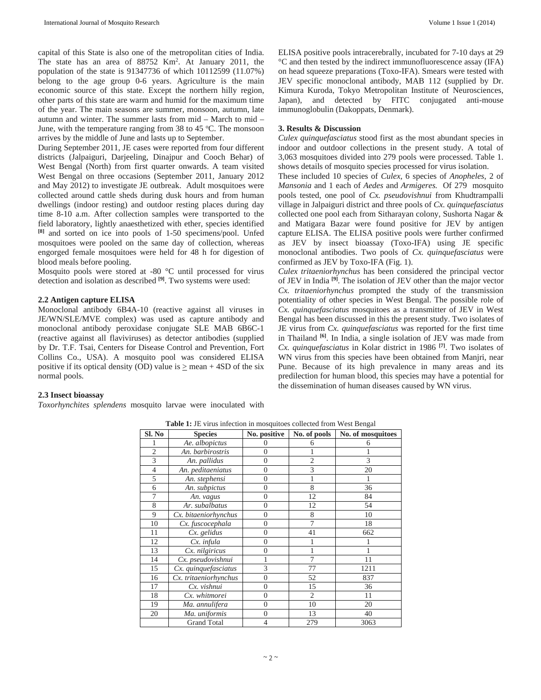capital of this State is also one of the metropolitan cities of India. The state has an area of 88752 Km<sup>2</sup>. At January 2011, the population of the state is 91347736 of which 10112599 (11.07%) belong to the age group 0-6 years. Agriculture is the main economic source of this state. Except the northern hilly region, other parts of this state are warm and humid for the maximum time of the year. The main seasons are summer, monsoon, autumn, late autumn and winter. The summer lasts from mid – March to mid – June, with the temperature ranging from 38 to 45 °C. The monsoon arrives by the middle of June and lasts up to September.

During September 2011, JE cases were reported from four different districts (Jalpaiguri, Darjeeling, Dinajpur and Cooch Behar) of West Bengal (North) from first quarter onwards. A team visited West Bengal on three occasions (September 2011, January 2012 and May 2012) to investigate JE outbreak. Adult mosquitoes were collected around cattle sheds during dusk hours and from human dwellings (indoor resting) and outdoor resting places during day time 8-10 a.m. After collection samples were transported to the field laboratory, lightly anaesthetized with ether, species identified **[8]** and sorted on ice into pools of 1-50 specimens/pool. Unfed mosquitoes were pooled on the same day of collection, whereas engorged female mosquitoes were held for 48 h for digestion of blood meals before pooling.

Mosquito pools were stored at -80 °C until processed for virus detection and isolation as described **[9]**. Two systems were used:

# **2.2 Antigen capture ELISA**

Monoclonal antibody 6B4A-10 (reactive against all viruses in JE/WN/SLE/MVE complex) was used as capture antibody and monoclonal antibody peroxidase conjugate SLE MAB 6B6C-1 (reactive against all flaviviruses) as detector antibodies (supplied by Dr. T.F. Tsai, Centers for Disease Control and Prevention, Fort Collins Co., USA). A mosquito pool was considered ELISA positive if its optical density (OD) value is  $>$  mean + 4SD of the six normal pools.

*Toxorhynchites splendens* mosquito larvae were inoculated with

ELISA positive pools intracerebrally, incubated for 7-10 days at 29 °C and then tested by the indirect immunofluorescence assay (IFA) on head squeeze preparations (Toxo-IFA). Smears were tested with JEV specific monoclonal antibody, MAB 112 (supplied by Dr. Kimura Kuroda, Tokyo Metropolitan Institute of Neurosciences, Japan), and detected by FITC conjugated anti-mouse immunoglobulin (Dakoppats, Denmark).

# **3. Results & Discussion**

*Culex quinquefasciatus* stood first as the most abundant species in indoor and outdoor collections in the present study. A total of 3,063 mosquitoes divided into 279 pools were processed. Table 1. shows details of mosquito species processed for virus isolation.

These included 10 species of *Culex*, 6 species of *Anopheles*, 2 of *Mansonia* and 1 each of *Aedes* and *Armigeres.* Of 279 mosquito pools tested, one pool of *Cx. pseudovishnui* from Khudtrampalli village in Jalpaiguri district and three pools of *Cx. quinquefasciatus* collected one pool each from Sitharayan colony, Sushorta Nagar & and Matigara Bazar were found positive for JEV by antigen capture ELISA. The ELISA positive pools were further confirmed as JEV by insect bioassay (Toxo-IFA) using JE specific monoclonal antibodies. Two pools of *Cx. quinquefasciatus* were confirmed as JEV by Toxo-IFA (Fig. 1).

*Culex tritaeniorhynchus* has been considered the principal vector of JEV in India **[9]**. The isolation of JEV other than the major vector *Cx. tritaeniorhynchus* prompted the study of the transmission potentiality of other species in West Bengal. The possible role of *Cx. quinquefasciatus* mosquitoes as a transmitter of JEV in West Bengal has been discussed in this the present study. Two isolates of JE virus from *Cx. quinquefasciatus* was reported for the first time in Thailand **[6]**. In India, a single isolation of JEV was made from *Cx. quinquefasciatus* in Kolar district in 1986 **[7]**. Two isolates of WN virus from this species have been obtained from Manjri, near Pune. Because of its high prevalence in many areas and its predilection for human blood, this species may have a potential for the dissemination of human diseases caused by WN virus.

| Sl. No         | <b>Table 1.</b> The virus intection in mosquitoes conected from west beingar<br><b>Species</b> | No. positive   | No. of pools   | No. of mosquitoes |
|----------------|------------------------------------------------------------------------------------------------|----------------|----------------|-------------------|
|                |                                                                                                |                |                |                   |
|                | Ae. albopictus                                                                                 | 0              | 6              | 6                 |
| $\overline{2}$ | An. barbirostris                                                                               | $\overline{0}$ |                |                   |
| 3              | An. pallidus                                                                                   | 0              | $\overline{2}$ | 3                 |
| $\overline{4}$ | An. peditaeniatus                                                                              | $\overline{0}$ | 3              | 20                |
| 5              | An. stephensi                                                                                  | $\overline{0}$ |                |                   |
| 6              | An. subpictus                                                                                  | $\mathbf{0}$   | 8              | 36                |
| 7              | An. vagus                                                                                      | $\overline{0}$ | 12             | 84                |
| 8              | Ar. subalbatus                                                                                 | $\overline{0}$ | 12             | 54                |
| 9              | Cx. bitaeniorhynchus                                                                           | $\overline{0}$ | 8              | 10                |
| 10             | Cx. fuscocephala                                                                               | 0              | 7              | 18                |
| 11             | Cx. gelidus                                                                                    | $\overline{0}$ | 41             | 662               |
| 12             | Cx. infula                                                                                     | $\overline{0}$ |                |                   |
| 13             | Cx. nilgiricus                                                                                 | $\overline{0}$ |                |                   |
| 14             | Cx. pseudovishnui                                                                              |                | 7              | 11                |
| 15             | Cx. quinquefasciatus                                                                           | 3              | 77             | 1211              |
| 16             | Cx. tritaeniorhynchus                                                                          | $\overline{0}$ | 52             | 837               |
| 17             | Cx. vishnui                                                                                    | $\overline{0}$ | 15             | 36                |
| 18             | Cx. whitmorei                                                                                  | $\overline{0}$ | $\overline{2}$ | 11                |
| 19             | Ma. annulifera                                                                                 | $\overline{0}$ | 10             | 20                |
| 20             | Ma. uniformis                                                                                  | 0              | 13             | 40                |
|                | <b>Grand Total</b>                                                                             | 4              | 279            | 3063              |

**Table 1:** JE virus infection in mosquitoes collected from West Bengal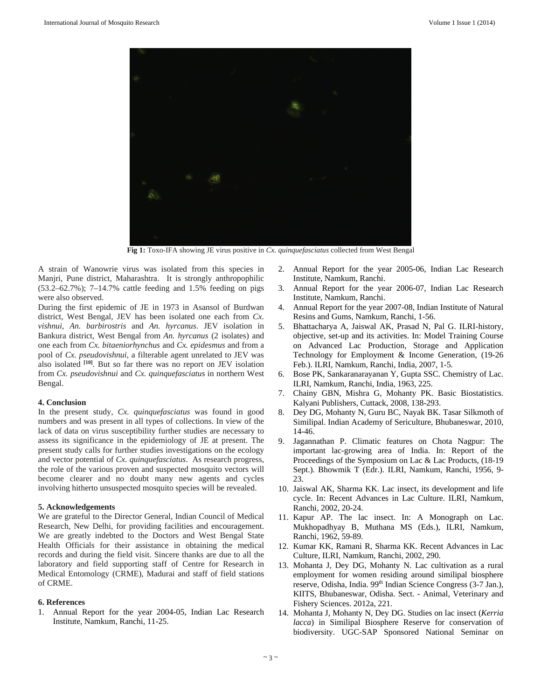

**Fig 1:** Toxo-IFA showing JE virus positive in *Cx. quinquefasciatus* collected from West Bengal

A strain of Wanowrie virus was isolated from this species in Manjri, Pune district, Maharashtra. It is strongly anthropophilic (53.2–62.7%); 7–14.7% cattle feeding and 1.5% feeding on pigs were also observed.

During the first epidemic of JE in 1973 in Asansol of Burdwan district, West Bengal, JEV has been isolated one each from *Cx. vishnui, An. barbirostris* and *An. hyrcanus*. JEV isolation in Bankura district, West Bengal from *An. hyrcanus* (2 isolates) and one each from *Cx. bitaeniorhynchus* and *Cx. epidesmus* and from a pool of *Cx. pseudovishnui*, a filterable agent unrelated to JEV was also isolated **[10]**. But so far there was no report on JEV isolation from *Cx. pseudovishnui* and *Cx. quinquefasciatus* in northern West Bengal.

### **4. Conclusion**

In the present study, *Cx. quinquefasciatus* was found in good numbers and was present in all types of collections. In view of the lack of data on virus susceptibility further studies are necessary to assess its significance in the epidemiology of JE at present. The present study calls for further studies investigations on the ecology and vector potential of *Cx. quinquefasciatus*. As research progress, the role of the various proven and suspected mosquito vectors will become clearer and no doubt many new agents and cycles involving hitherto unsuspected mosquito species will be revealed.

### **5. Acknowledgements**

We are grateful to the Director General, Indian Council of Medical Research, New Delhi, for providing facilities and encouragement. We are greatly indebted to the Doctors and West Bengal State Health Officials for their assistance in obtaining the medical records and during the field visit. Sincere thanks are due to all the laboratory and field supporting staff of Centre for Research in Medical Entomology (CRME), Madurai and staff of field stations of CRME.

## **6. References**

1. Annual Report for the year 2004-05, Indian Lac Research Institute, Namkum, Ranchi, 11-25.

- 2. Annual Report for the year 2005-06, Indian Lac Research Institute, Namkum, Ranchi.
- 3. Annual Report for the year 2006-07, Indian Lac Research Institute, Namkum, Ranchi.
- 4. Annual Report for the year 2007-08, Indian Institute of Natural Resins and Gums, Namkum, Ranchi, 1-56.
- 5. Bhattacharya A, Jaiswal AK, Prasad N, Pal G. ILRI-history, objective, set-up and its activities. In: Model Training Course on Advanced Lac Production, Storage and Application Technology for Employment & Income Generation, (19-26 Feb.). ILRI, Namkum, Ranchi, India, 2007, 1-5.
- 6. Bose PK, Sankaranarayanan Y, Gupta SSC. Chemistry of Lac. ILRI, Namkum, Ranchi, India, 1963, 225.
- 7. Chainy GBN, Mishra G, Mohanty PK. Basic Biostatistics. Kalyani Publishers, Cuttack, 2008, 138-293.
- 8. Dey DG, Mohanty N, Guru BC, Nayak BK. Tasar Silkmoth of Similipal. Indian Academy of Sericulture, Bhubaneswar, 2010, 14-46.
- 9. Jagannathan P. Climatic features on Chota Nagpur: The important lac-growing area of India. In: Report of the Proceedings of the Symposium on Lac & Lac Products, (18-19 Sept.). Bhowmik T (Edr.). ILRI, Namkum, Ranchi, 1956, 9- 23.
- 10. Jaiswal AK, Sharma KK. Lac insect, its development and life cycle. In: Recent Advances in Lac Culture. ILRI, Namkum, Ranchi, 2002, 20-24.
- 11. Kapur AP. The lac insect. In: A Monograph on Lac. Mukhopadhyay B, Muthana MS (Eds.), ILRI, Namkum, Ranchi, 1962, 59-89.
- 12. Kumar KK, Ramani R, Sharma KK. Recent Advances in Lac Culture, ILRI, Namkum, Ranchi, 2002, 290.
- 13. Mohanta J, Dey DG, Mohanty N. Lac cultivation as a rural employment for women residing around similipal biosphere reserve, Odisha, India. 99<sup>th</sup> Indian Science Congress (3-7 Jan.), KIITS, Bhubaneswar, Odisha. Sect. - Animal, Veterinary and Fishery Sciences. 2012a, 221.
- 14. Mohanta J, Mohanty N, Dey DG. Studies on lac insect (*Kerria lacca*) in Similipal Biosphere Reserve for conservation of biodiversity. UGC-SAP Sponsored National Seminar on